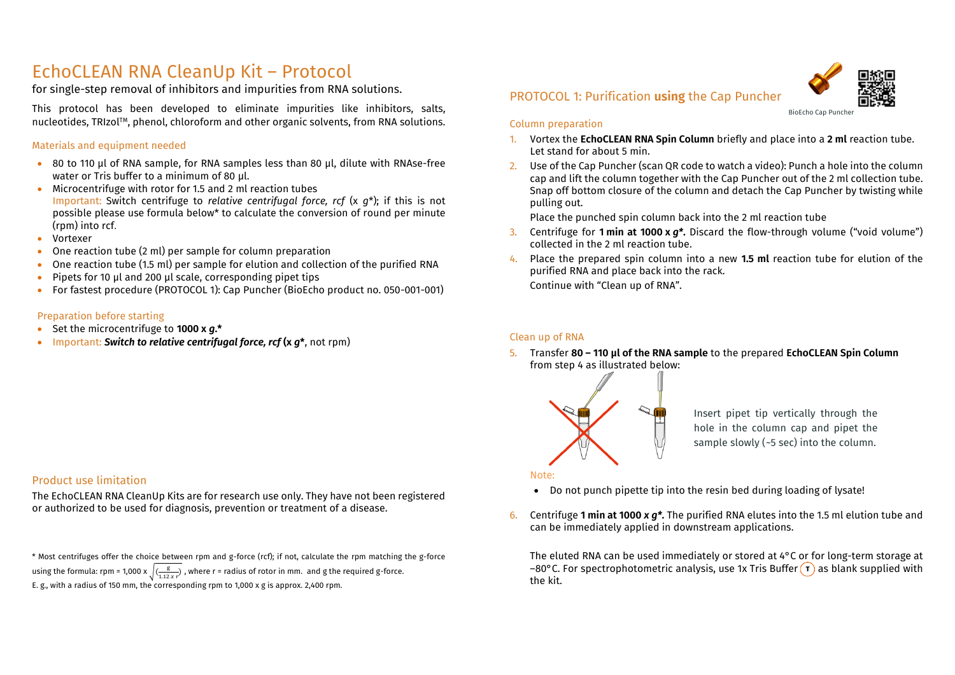## EchoCLEAN RNA CleanUp Kit – Protocol

for single-step removal of inhibitors and impurities from RNA solutions.

This protocol has been developed to eliminate impurities like inhibitors, salts, nucleotides, TRIzol™, phenol, chloroform and other organic solvents, from RNA solutions.

#### Materials and equipment needed

- 80 to 110 µl of RNA sample, for RNA samples less than 80 µl, dilute with RNAse-free water or Tris buffer to a minimum of 80 µl.
- Microcentrifuge with rotor for 1.5 and 2 ml reaction tubes Important: Switch centrifuge to *relative centrifugal force, rcf* (x *g*\*); if this is not possible please use formula below\* to calculate the conversion of round per minute (rpm) into rcf.
- Vortexer
- One reaction tube (2 ml) per sample for column preparation
- One reaction tube (1.5 ml) per sample for elution and collection of the purified RNA
- Pipets for 10 µl and 200 µl scale, corresponding pipet tips
- For fastest procedure (PROTOCOL 1): Cap Puncher (BioEcho product no. 050-001-001)

#### Preparation before starting

- Set the microcentrifuge to **1000 x** *g***.\***
- Important: *Switch to relative centrifugal force, rcf* **(x** *g***\***, not rpm)

## PROTOCOL 1: Purification **using** the Cap Puncher



#### Column preparation

- 1. Vortex the **EchoCLEAN RNA Spin Column** briefly and place into a **2 ml** reaction tube. Let stand for about 5 min.
- 2. Use of the Cap Puncher (scan QR code to watch a video): Punch a hole into the column cap and lift the column together with the Cap Puncher out of the 2 ml collection tube. Snap off bottom closure of the column and detach the Cap Puncher by twisting while pulling out.

Place the punched spin column back into the 2 ml reaction tube

- 3. Centrifuge for **1 min at 1000 x** *g\****.** Discard the flow-through volume ("void volume") collected in the 2 ml reaction tube.
- 4. Place the prepared spin column into a new **1.5 ml** reaction tube for elution of the purified RNA and place back into the rack. Continue with "Clean up of RNA".

#### Clean up of RNA

5. Transfer **80 – 110 µl of the RNA sample** to the prepared **EchoCLEAN Spin Column** from step 4 as illustrated below:



Insert pipet tip vertically through the hole in the column cap and pipet the sample slowly ( $-5$  sec) into the column.

#### Note:

- Do not punch pipette tip into the resin bed during loading of lysate!
- 6. Centrifuge **1 min at 1000** *x g\****.** The purified RNA elutes into the 1.5 ml elution tube and can be immediately applied in downstream applications.

The eluted RNA can be used immediately or stored at 4°C or for long-term storage at –80°C. For spectrophotometric analysis, use 1x Tris Buffer  $\overline{r}$  as blank supplied with the kit.

#### Product use limitation

The EchoCLEAN RNA CleanUp Kits are for research use only. They have not been registered or authorized to be used for diagnosis, prevention or treatment of a disease.

\* Most centrifuges offer the choice between rpm and g-force (rcf); if not, calculate the rpm matching the g-force using the formula: rpm = 1,000 x  $\sqrt{\frac{g}{1.12 \times r}}$ , where r = radius of rotor in mm. and g the required g-force. E. g., with a radius of 150 mm, the corresponding rpm to 1,000 x g is approx. 2,400 rpm.